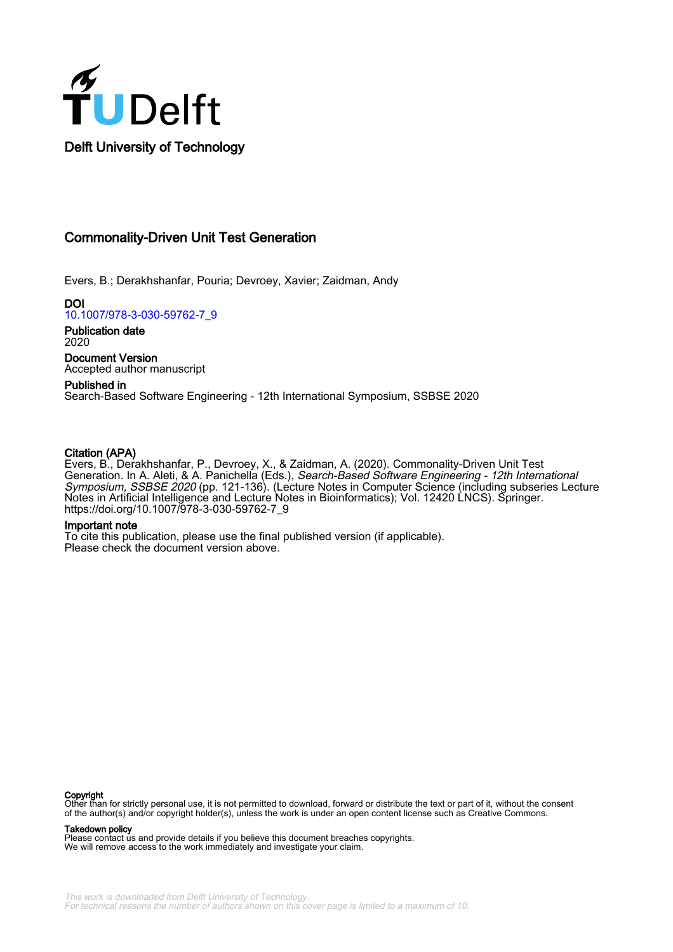

# Commonality-Driven Unit Test Generation

Evers, B.; Derakhshanfar, Pouria; Devroey, Xavier; Zaidman, Andy

DOI [10.1007/978-3-030-59762-7\\_9](https://doi.org/10.1007/978-3-030-59762-7_9)

Publication date 2020

Document Version Accepted author manuscript

# Published in Search-Based Software Engineering - 12th International Symposium, SSBSE 2020

# Citation (APA)

Evers, B., Derakhshanfar, P., Devroey, X., & Zaidman, A. (2020). Commonality-Driven Unit Test Generation. In A. Aleti, & A. Panichella (Eds.), *Search-Based Software Engineering - 12th International* Symposium, SSBSE 2020 (pp. 121-136). (Lecture Notes in Computer Science (including subseries Lecture Notes in Artificial Intelligence and Lecture Notes in Bioinformatics); Vol. 12420 LNCS). Springer. [https://doi.org/10.1007/978-3-030-59762-7\\_9](https://doi.org/10.1007/978-3-030-59762-7_9)

#### Important note

To cite this publication, please use the final published version (if applicable). Please check the document version above.

**Copyright**<br>Other than for strictly personal use, it is not permitted to download, forward or distribute the text or part of it, without the consent of the author(s) and/or copyright holder(s), unless the work is under an open content license such as Creative Commons.

Takedown policy

Please contact us and provide details if you believe this document breaches copyrights. We will remove access to the work immediately and investigate your claim.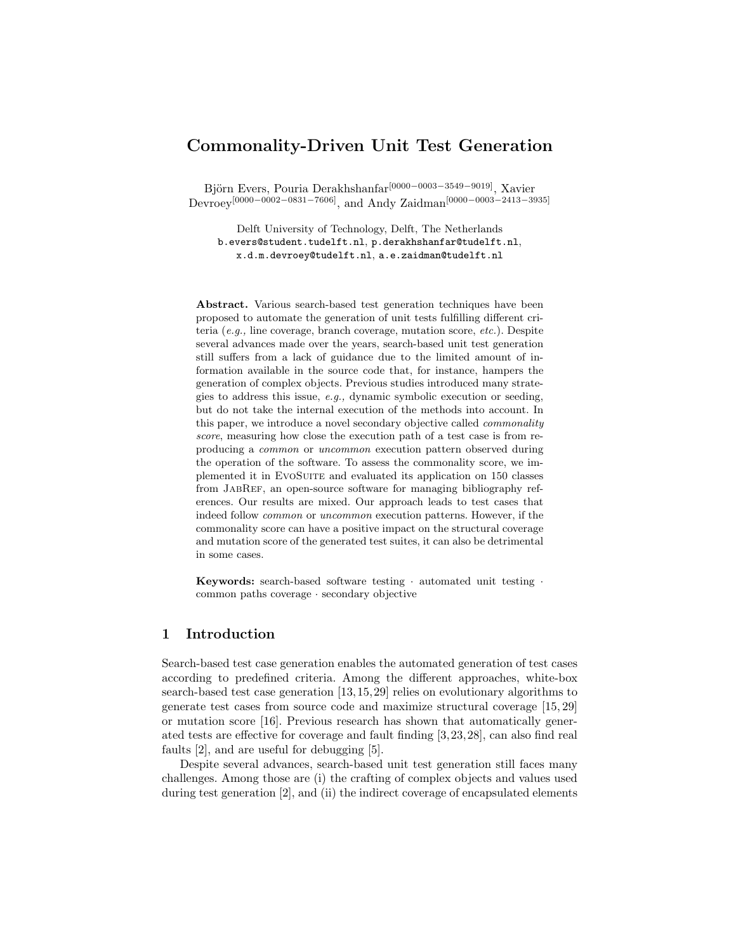# Commonality-Driven Unit Test Generation

Björn Evers, Pouria Derakhshanfar<sup>[0000–0003–3549–9019]</sup>, Xavier Devroey[0000−0002−0831−7606], and Andy Zaidman[0000−0003−2413−3935]

Delft University of Technology, Delft, The Netherlands b.evers@student.tudelft.nl, p.derakhshanfar@tudelft.nl, x.d.m.devroey@tudelft.nl, a.e.zaidman@tudelft.nl

Abstract. Various search-based test generation techniques have been proposed to automate the generation of unit tests fulfilling different criteria (e.g., line coverage, branch coverage, mutation score, etc.). Despite several advances made over the years, search-based unit test generation still suffers from a lack of guidance due to the limited amount of information available in the source code that, for instance, hampers the generation of complex objects. Previous studies introduced many strategies to address this issue, e.g., dynamic symbolic execution or seeding, but do not take the internal execution of the methods into account. In this paper, we introduce a novel secondary objective called commonality score, measuring how close the execution path of a test case is from reproducing a common or uncommon execution pattern observed during the operation of the software. To assess the commonality score, we implemented it in EVOSUITE and evaluated its application on 150 classes from JABREF, an open-source software for managing bibliography references. Our results are mixed. Our approach leads to test cases that indeed follow common or uncommon execution patterns. However, if the commonality score can have a positive impact on the structural coverage and mutation score of the generated test suites, it can also be detrimental in some cases.

Keywords: search-based software testing · automated unit testing · common paths coverage · secondary objective

# 1 Introduction

Search-based test case generation enables the automated generation of test cases according to predefined criteria. Among the different approaches, white-box search-based test case generation [13, 15, 29] relies on evolutionary algorithms to generate test cases from source code and maximize structural coverage [15, 29] or mutation score [16]. Previous research has shown that automatically generated tests are effective for coverage and fault finding [3,23,28], can also find real faults [2], and are useful for debugging [5].

Despite several advances, search-based unit test generation still faces many challenges. Among those are (i) the crafting of complex objects and values used during test generation [2], and (ii) the indirect coverage of encapsulated elements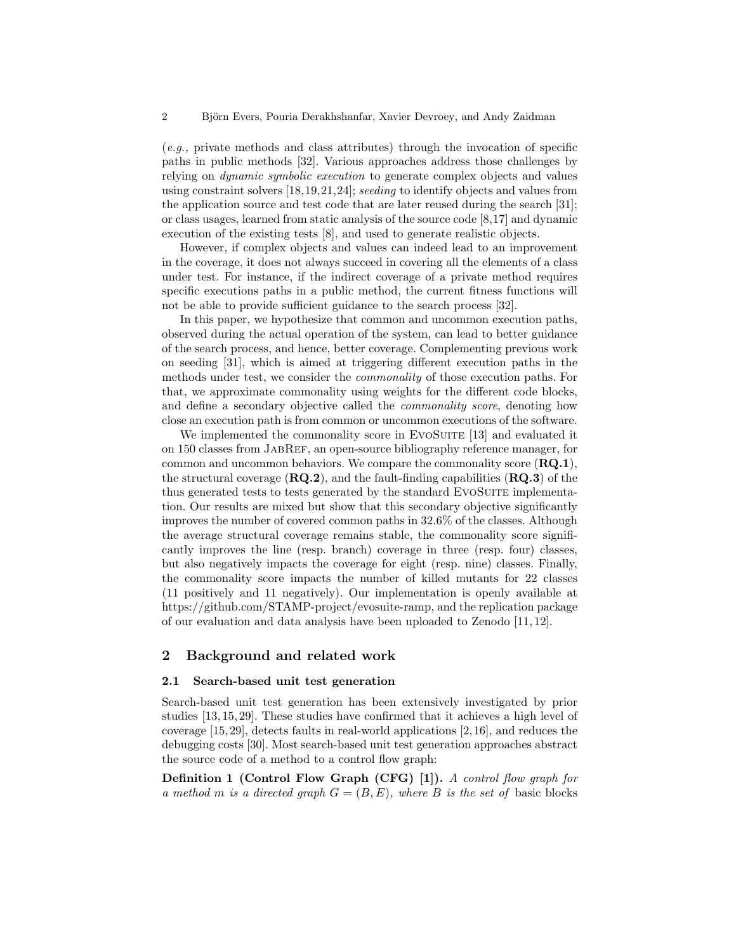(e.g., private methods and class attributes) through the invocation of specific paths in public methods [32]. Various approaches address those challenges by relying on dynamic symbolic execution to generate complex objects and values using constraint solvers [18,19,21,24]; seeding to identify objects and values from the application source and test code that are later reused during the search [31]; or class usages, learned from static analysis of the source code [8,17] and dynamic execution of the existing tests [8], and used to generate realistic objects.

However, if complex objects and values can indeed lead to an improvement in the coverage, it does not always succeed in covering all the elements of a class under test. For instance, if the indirect coverage of a private method requires specific executions paths in a public method, the current fitness functions will not be able to provide sufficient guidance to the search process [32].

In this paper, we hypothesize that common and uncommon execution paths, observed during the actual operation of the system, can lead to better guidance of the search process, and hence, better coverage. Complementing previous work on seeding [31], which is aimed at triggering different execution paths in the methods under test, we consider the commonality of those execution paths. For that, we approximate commonality using weights for the different code blocks, and define a secondary objective called the commonality score, denoting how close an execution path is from common or uncommon executions of the software.

We implemented the commonality score in EVOSUITE [13] and evaluated it on 150 classes from JabRef, an open-source bibliography reference manager, for common and uncommon behaviors. We compare the commonality score (RQ.1), the structural coverage  $(RQ.2)$ , and the fault-finding capabilities  $(RQ.3)$  of the thus generated tests to tests generated by the standard EvoSuite implementation. Our results are mixed but show that this secondary objective significantly improves the number of covered common paths in 32.6% of the classes. Although the average structural coverage remains stable, the commonality score significantly improves the line (resp. branch) coverage in three (resp. four) classes, but also negatively impacts the coverage for eight (resp. nine) classes. Finally, the commonality score impacts the number of killed mutants for 22 classes (11 positively and 11 negatively). Our implementation is openly available at https://github.com/STAMP-project/evosuite-ramp, and the replication package of our evaluation and data analysis have been uploaded to Zenodo [11, 12].

### 2 Background and related work

#### 2.1 Search-based unit test generation

Search-based unit test generation has been extensively investigated by prior studies [13, 15, 29]. These studies have confirmed that it achieves a high level of coverage [15,29], detects faults in real-world applications [2,16], and reduces the debugging costs [30]. Most search-based unit test generation approaches abstract the source code of a method to a control flow graph:

Definition 1 (Control Flow Graph (CFG) [1]). A control flow graph for a method m is a directed graph  $G = (B, E)$ , where B is the set of basic blocks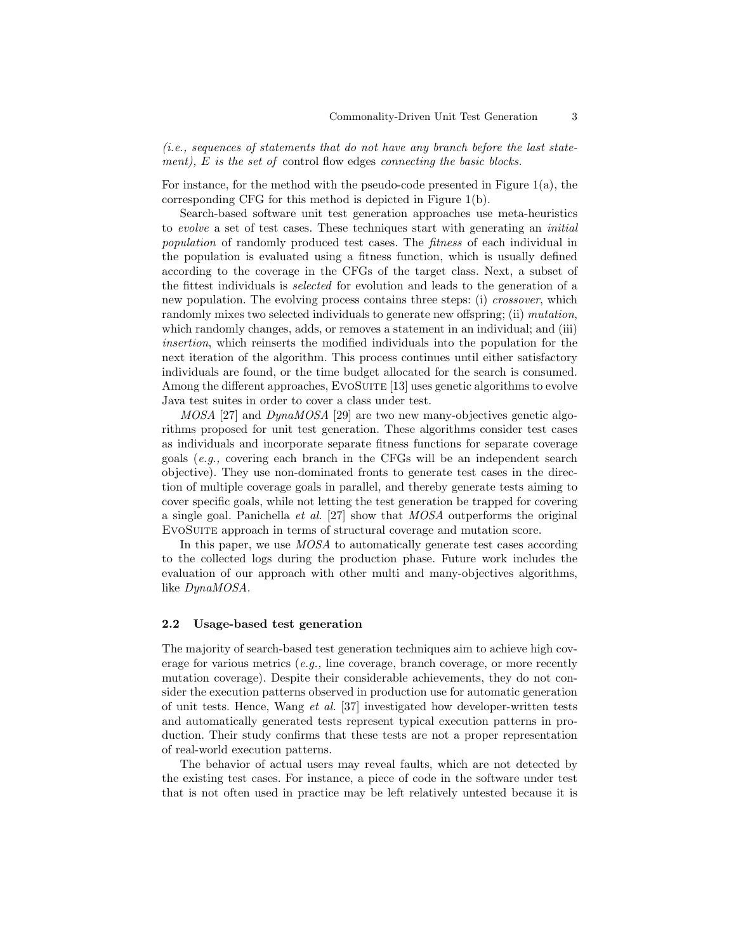(i.e., sequences of statements that do not have any branch before the last statement), E is the set of control flow edges connecting the basic blocks.

For instance, for the method with the pseudo-code presented in Figure  $1(a)$ , the corresponding CFG for this method is depicted in Figure 1(b).

Search-based software unit test generation approaches use meta-heuristics to evolve a set of test cases. These techniques start with generating an initial population of randomly produced test cases. The fitness of each individual in the population is evaluated using a fitness function, which is usually defined according to the coverage in the CFGs of the target class. Next, a subset of the fittest individuals is selected for evolution and leads to the generation of a new population. The evolving process contains three steps: (i) *crossover*, which randomly mixes two selected individuals to generate new offspring; (ii) *mutation*, which randomly changes, adds, or removes a statement in an individual; and (iii) insertion, which reinserts the modified individuals into the population for the next iteration of the algorithm. This process continues until either satisfactory individuals are found, or the time budget allocated for the search is consumed. Among the different approaches, EVOSUITE [13] uses genetic algorithms to evolve Java test suites in order to cover a class under test.

MOSA [27] and DynaMOSA [29] are two new many-objectives genetic algorithms proposed for unit test generation. These algorithms consider test cases as individuals and incorporate separate fitness functions for separate coverage goals (e.g., covering each branch in the CFGs will be an independent search objective). They use non-dominated fronts to generate test cases in the direction of multiple coverage goals in parallel, and thereby generate tests aiming to cover specific goals, while not letting the test generation be trapped for covering a single goal. Panichella et al. [27] show that MOSA outperforms the original EvoSuite approach in terms of structural coverage and mutation score.

In this paper, we use MOSA to automatically generate test cases according to the collected logs during the production phase. Future work includes the evaluation of our approach with other multi and many-objectives algorithms, like DynaMOSA.

#### 2.2 Usage-based test generation

The majority of search-based test generation techniques aim to achieve high coverage for various metrics  $(e.g.,\$  line coverage, branch coverage, or more recently mutation coverage). Despite their considerable achievements, they do not consider the execution patterns observed in production use for automatic generation of unit tests. Hence, Wang et al. [37] investigated how developer-written tests and automatically generated tests represent typical execution patterns in production. Their study confirms that these tests are not a proper representation of real-world execution patterns.

The behavior of actual users may reveal faults, which are not detected by the existing test cases. For instance, a piece of code in the software under test that is not often used in practice may be left relatively untested because it is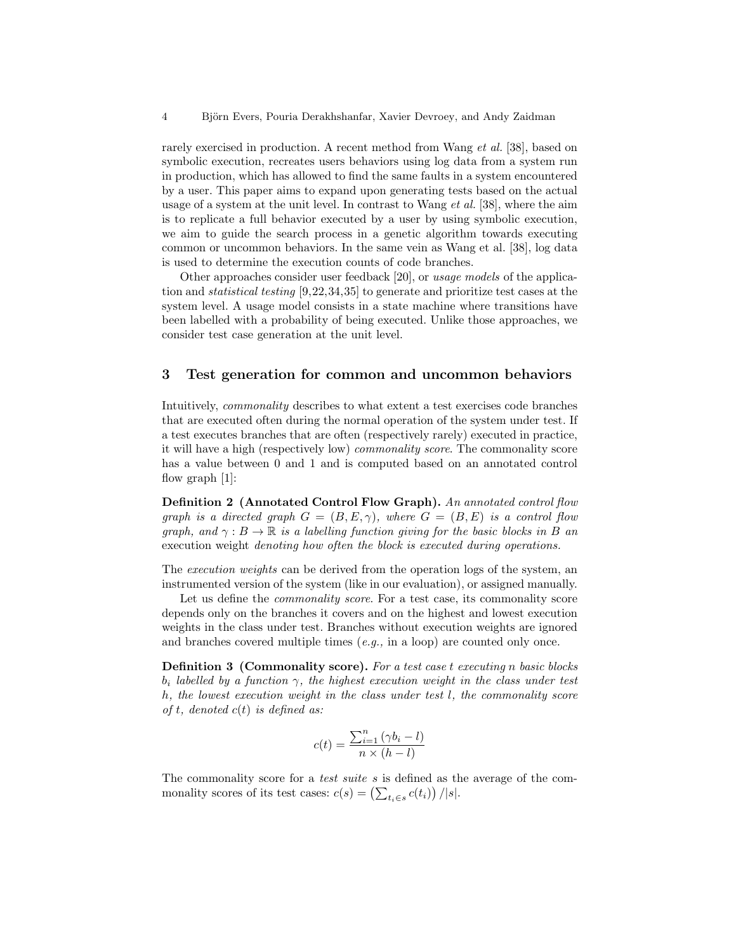rarely exercised in production. A recent method from Wang et al. [38], based on symbolic execution, recreates users behaviors using log data from a system run in production, which has allowed to find the same faults in a system encountered by a user. This paper aims to expand upon generating tests based on the actual usage of a system at the unit level. In contrast to Wang et al. [38], where the aim is to replicate a full behavior executed by a user by using symbolic execution, we aim to guide the search process in a genetic algorithm towards executing common or uncommon behaviors. In the same vein as Wang et al. [38], log data is used to determine the execution counts of code branches.

Other approaches consider user feedback [20], or usage models of the application and statistical testing [9,22,34,35] to generate and prioritize test cases at the system level. A usage model consists in a state machine where transitions have been labelled with a probability of being executed. Unlike those approaches, we consider test case generation at the unit level.

# 3 Test generation for common and uncommon behaviors

Intuitively, commonality describes to what extent a test exercises code branches that are executed often during the normal operation of the system under test. If a test executes branches that are often (respectively rarely) executed in practice, it will have a high (respectively low) commonality score. The commonality score has a value between 0 and 1 and is computed based on an annotated control flow graph [1]:

Definition 2 (Annotated Control Flow Graph). An annotated control flow graph is a directed graph  $G = (B, E, \gamma)$ , where  $G = (B, E)$  is a control flow graph, and  $\gamma : B \to \mathbb{R}$  is a labelling function giving for the basic blocks in B an execution weight denoting how often the block is executed during operations.

The execution weights can be derived from the operation logs of the system, an instrumented version of the system (like in our evaluation), or assigned manually.

Let us define the *commonality score*. For a test case, its commonality score depends only on the branches it covers and on the highest and lowest execution weights in the class under test. Branches without execution weights are ignored and branches covered multiple times (e.g., in a loop) are counted only once.

Definition 3 (Commonality score). For a test case t executing n basic blocks  $b_i$  labelled by a function  $\gamma$ , the highest execution weight in the class under test h, the lowest execution weight in the class under test l, the commonality score of t, denoted  $c(t)$  is defined as:

$$
c(t) = \frac{\sum_{i=1}^{n} (\gamma b_i - l)}{n \times (h - l)}
$$

The commonality score for a *test suite* s is defined as the average of the commonality scores of its test cases:  $c(s) = (\sum_{t_i \in s} c(t_i)) / |s|$ .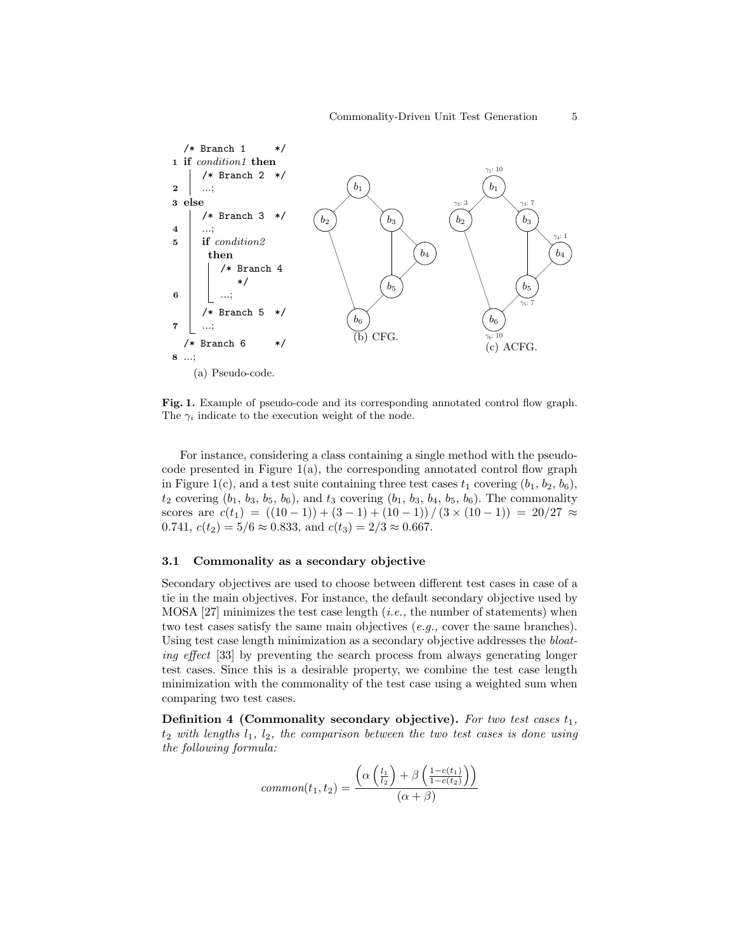

Fig. 1. Example of pseudo-code and its corresponding annotated control flow graph. The  $\gamma_i$  indicate to the execution weight of the node.

For instance, considering a class containing a single method with the pseudocode presented in Figure 1(a), the corresponding annotated control flow graph in Figure 1(c), and a test suite containing three test cases  $t_1$  covering  $(b_1, b_2, b_6)$ ,  $t_2$  covering  $(b_1, b_3, b_5, b_6)$ , and  $t_3$  covering  $(b_1, b_3, b_4, b_5, b_6)$ . The commonality scores are  $c(t_1) = ((10-1)) + (3-1) + (10-1)) / (3 \times (10-1)) = 20/27 \approx$ 0.741,  $c(t_2) = 5/6 \approx 0.833$ , and  $c(t_3) = 2/3 \approx 0.667$ .

#### 3.1 Commonality as a secondary objective

Secondary objectives are used to choose between different test cases in case of a tie in the main objectives. For instance, the default secondary objective used by MOSA [27] minimizes the test case length (*i.e.*, the number of statements) when two test cases satisfy the same main objectives (e.g., cover the same branches). Using test case length minimization as a secondary objective addresses the *bloat*ing effect [33] by preventing the search process from always generating longer test cases. Since this is a desirable property, we combine the test case length minimization with the commonality of the test case using a weighted sum when comparing two test cases.

Definition 4 (Commonality secondary objective). For two test cases  $t_1$ ,  $t_2$  with lengths  $l_1$ ,  $l_2$ , the comparison between the two test cases is done using the following formula:

$$
common(t_1, t_2) = \frac{\left(\alpha \left(\frac{l_1}{l_2}\right) + \beta \left(\frac{1 - c(t_1)}{1 - c(t_2)}\right)\right)}{(\alpha + \beta)}
$$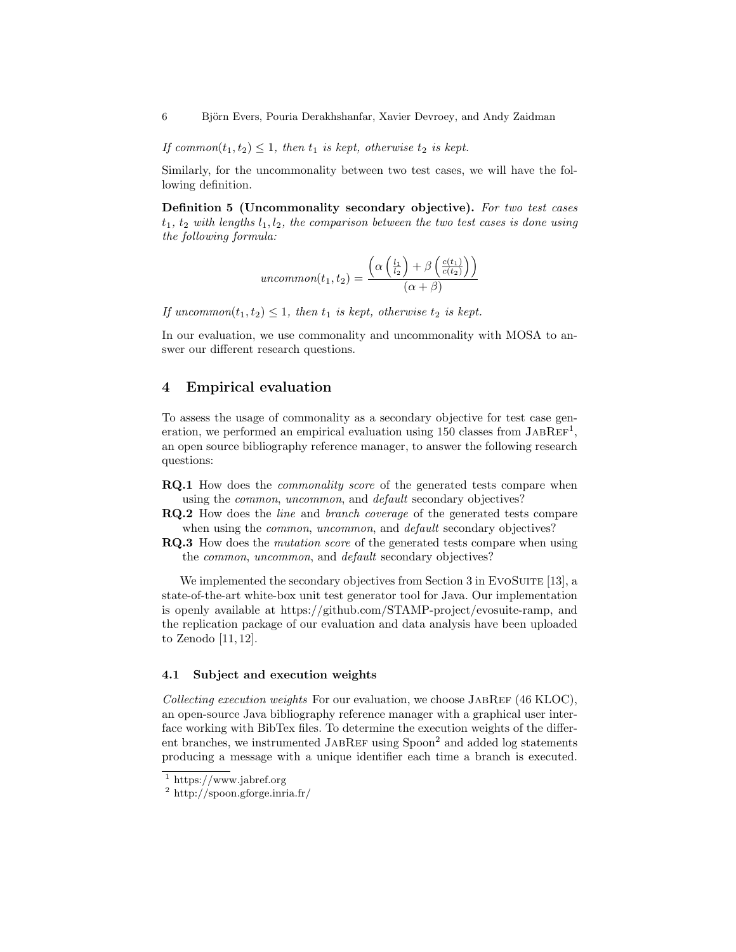6 Björn Evers, Pouria Derakhshanfar, Xavier Devroey, and Andy Zaidman

If common $(t_1, t_2) \leq 1$ , then  $t_1$  is kept, otherwise  $t_2$  is kept.

Similarly, for the uncommonality between two test cases, we will have the following definition.

Definition 5 (Uncommonality secondary objective). For two test cases  $t_1$ ,  $t_2$  with lengths  $l_1, l_2$ , the comparison between the two test cases is done using the following formula:

$$
uncommon(t_1, t_2) = \frac{\left(\alpha \left(\frac{l_1}{l_2}\right) + \beta \left(\frac{c(t_1)}{c(t_2)}\right)\right)}{(\alpha + \beta)}
$$

If uncommon $(t_1, t_2) \leq 1$ , then  $t_1$  is kept, otherwise  $t_2$  is kept.

In our evaluation, we use commonality and uncommonality with MOSA to answer our different research questions.

# 4 Empirical evaluation

To assess the usage of commonality as a secondary objective for test case generation, we performed an empirical evaluation using 150 classes from  $JABREF^1$ , an open source bibliography reference manager, to answer the following research questions:

- **RQ.1** How does the *commonality score* of the generated tests compare when using the common, uncommon, and default secondary objectives?
- RQ.2 How does the line and branch coverage of the generated tests compare when using the *common*, uncommon, and *default* secondary objectives?
- RQ.3 How does the mutation score of the generated tests compare when using the common, uncommon, and default secondary objectives?

We implemented the secondary objectives from Section 3 in EVOSUITE [13], a state-of-the-art white-box unit test generator tool for Java. Our implementation is openly available at https://github.com/STAMP-project/evosuite-ramp, and the replication package of our evaluation and data analysis have been uploaded to Zenodo [11, 12].

#### 4.1 Subject and execution weights

Collecting execution weights For our evaluation, we choose JABREF (46 KLOC), an open-source Java bibliography reference manager with a graphical user interface working with BibTex files. To determine the execution weights of the different branches, we instrumented JABREF using Spoon<sup>2</sup> and added log statements producing a message with a unique identifier each time a branch is executed.

 $\frac{1}{1}$  https://www.jabref.org

<sup>2</sup> http://spoon.gforge.inria.fr/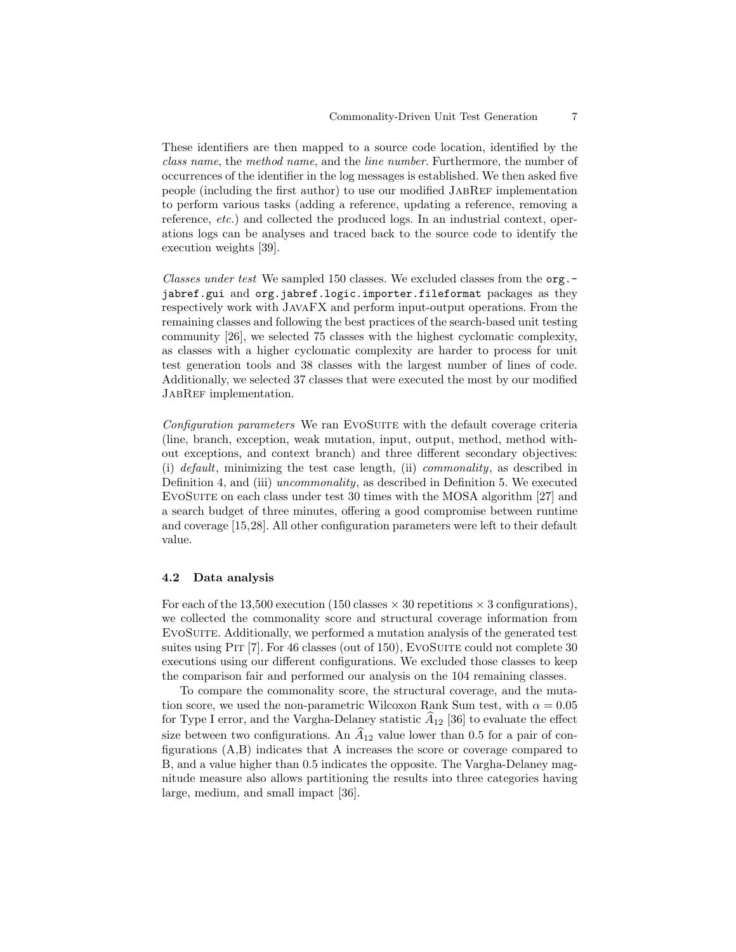These identifiers are then mapped to a source code location, identified by the class name, the method name, and the line number. Furthermore, the number of occurrences of the identifier in the log messages is established. We then asked five people (including the first author) to use our modified JABREF implementation to perform various tasks (adding a reference, updating a reference, removing a reference, etc.) and collected the produced logs. In an industrial context, operations logs can be analyses and traced back to the source code to identify the execution weights [39].

Classes under test We sampled 150 classes. We excluded classes from the org. jabref.gui and org.jabref.logic.importer.fileformat packages as they respectively work with JavaFX and perform input-output operations. From the remaining classes and following the best practices of the search-based unit testing community [26], we selected 75 classes with the highest cyclomatic complexity, as classes with a higher cyclomatic complexity are harder to process for unit test generation tools and 38 classes with the largest number of lines of code. Additionally, we selected 37 classes that were executed the most by our modified JABREF implementation.

Configuration parameters We ran EVOSUITE with the default coverage criteria (line, branch, exception, weak mutation, input, output, method, method without exceptions, and context branch) and three different secondary objectives: (i) default, minimizing the test case length, (ii) commonality, as described in Definition 4, and (iii) *uncommonality*, as described in Definition 5. We executed EVOSUITE on each class under test 30 times with the MOSA algorithm [27] and a search budget of three minutes, offering a good compromise between runtime and coverage [15,28]. All other configuration parameters were left to their default value.

#### 4.2 Data analysis

For each of the 13,500 execution (150 classes  $\times$  30 repetitions  $\times$  3 configurations), we collected the commonality score and structural coverage information from EvoSuite. Additionally, we performed a mutation analysis of the generated test suites using PIT [7]. For 46 classes (out of 150), EVOSUITE could not complete 30 executions using our different configurations. We excluded those classes to keep the comparison fair and performed our analysis on the 104 remaining classes.

To compare the commonality score, the structural coverage, and the mutation score, we used the non-parametric Wilcoxon Rank Sum test, with  $\alpha = 0.05$ for Type I error, and the Vargha-Delaney statistic  $A_{12}$  [36] to evaluate the effect size between two configurations. An  $\widehat{A}_{12}$  value lower than 0.5 for a pair of configurations (A,B) indicates that A increases the score or coverage compared to B, and a value higher than 0.5 indicates the opposite. The Vargha-Delaney magnitude measure also allows partitioning the results into three categories having large, medium, and small impact [36].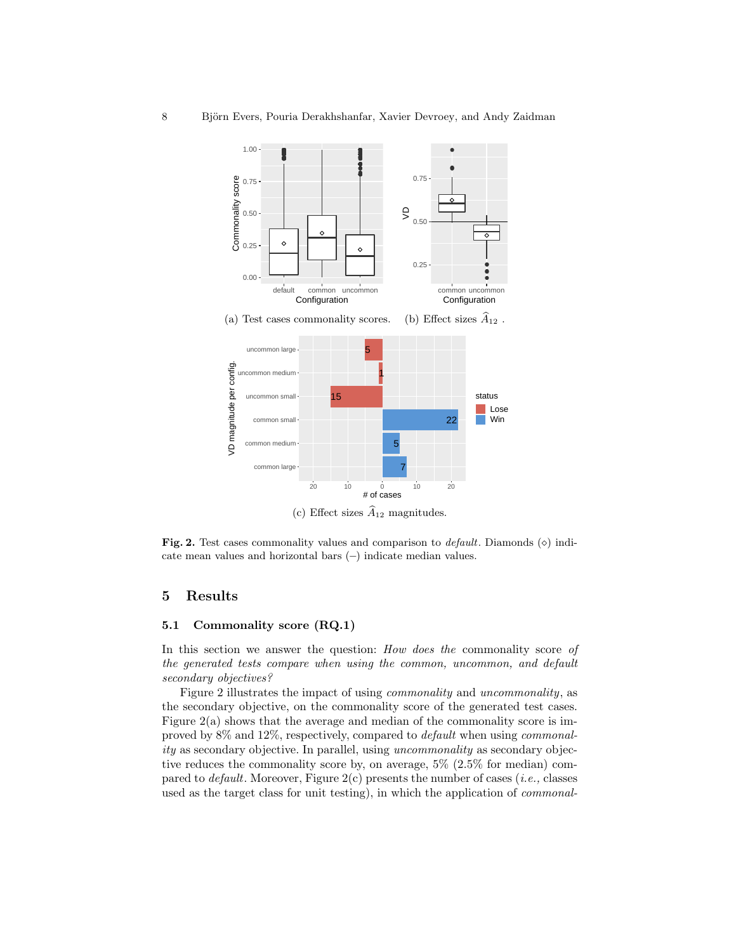

Fig. 2. Test cases commonality values and comparison to *default*. Diamonds  $(\diamond)$  indi-

cate mean values and horizontal bars (–) indicate median values.

# 5 Results

#### 5.1 Commonality score (RQ.1)

In this section we answer the question: How does the commonality score of the generated tests compare when using the common, uncommon, and default secondary objectives?

Figure 2 illustrates the impact of using commonality and uncommonality, as the secondary objective, on the commonality score of the generated test cases. Figure 2(a) shows that the average and median of the commonality score is improved by 8% and 12%, respectively, compared to default when using commonality as secondary objective. In parallel, using uncommonality as secondary objective reduces the commonality score by, on average,  $5\%$  (2.5% for median) compared to *default*. Moreover, Figure  $2(c)$  presents the number of cases (*i.e.*, classes used as the target class for unit testing), in which the application of commonal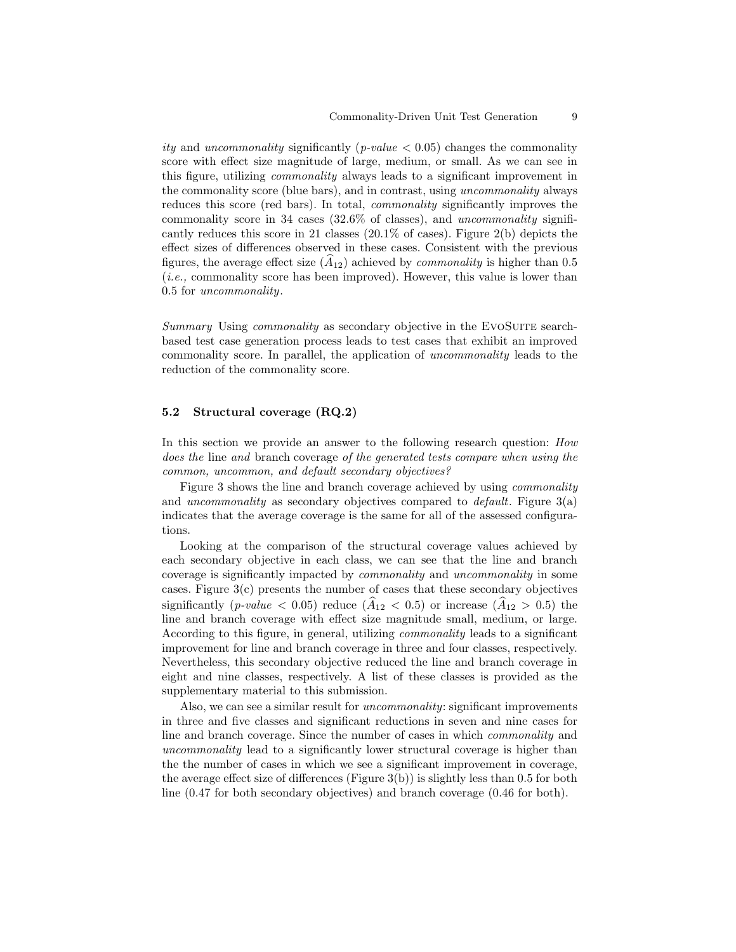ity and uncommonality significantly ( $p-value < 0.05$ ) changes the commonality score with effect size magnitude of large, medium, or small. As we can see in this figure, utilizing commonality always leads to a significant improvement in the commonality score (blue bars), and in contrast, using uncommonality always reduces this score (red bars). In total, commonality significantly improves the commonality score in 34 cases (32.6% of classes), and uncommonality significantly reduces this score in 21 classes (20.1% of cases). Figure 2(b) depicts the effect sizes of differences observed in these cases. Consistent with the previous figures, the average effect size  $(A_{12})$  achieved by *commonality* is higher than 0.5 (i.e., commonality score has been improved). However, this value is lower than 0.5 for uncommonality.

Summary Using commonality as secondary objective in the EVOSUITE searchbased test case generation process leads to test cases that exhibit an improved commonality score. In parallel, the application of uncommonality leads to the reduction of the commonality score.

#### 5.2 Structural coverage (RQ.2)

In this section we provide an answer to the following research question: How does the line and branch coverage of the generated tests compare when using the common, uncommon, and default secondary objectives?

Figure 3 shows the line and branch coverage achieved by using commonality and *uncommonality* as secondary objectives compared to *default*. Figure  $3(a)$ indicates that the average coverage is the same for all of the assessed configurations.

Looking at the comparison of the structural coverage values achieved by each secondary objective in each class, we can see that the line and branch coverage is significantly impacted by commonality and uncommonality in some cases. Figure 3(c) presents the number of cases that these secondary objectives significantly (*p-value*  $\langle 0.05 \rangle$  reduce ( $\widehat{A}_{12} \langle 0.5 \rangle$ ) or increase ( $\widehat{A}_{12} > 0.5$ ) the line and branch coverage with effect size magnitude small, medium, or large. According to this figure, in general, utilizing commonality leads to a significant improvement for line and branch coverage in three and four classes, respectively. Nevertheless, this secondary objective reduced the line and branch coverage in eight and nine classes, respectively. A list of these classes is provided as the supplementary material to this submission.

Also, we can see a similar result for uncommonality: significant improvements in three and five classes and significant reductions in seven and nine cases for line and branch coverage. Since the number of cases in which commonality and uncommonality lead to a significantly lower structural coverage is higher than the the number of cases in which we see a significant improvement in coverage, the average effect size of differences (Figure 3(b)) is slightly less than 0.5 for both line (0.47 for both secondary objectives) and branch coverage (0.46 for both).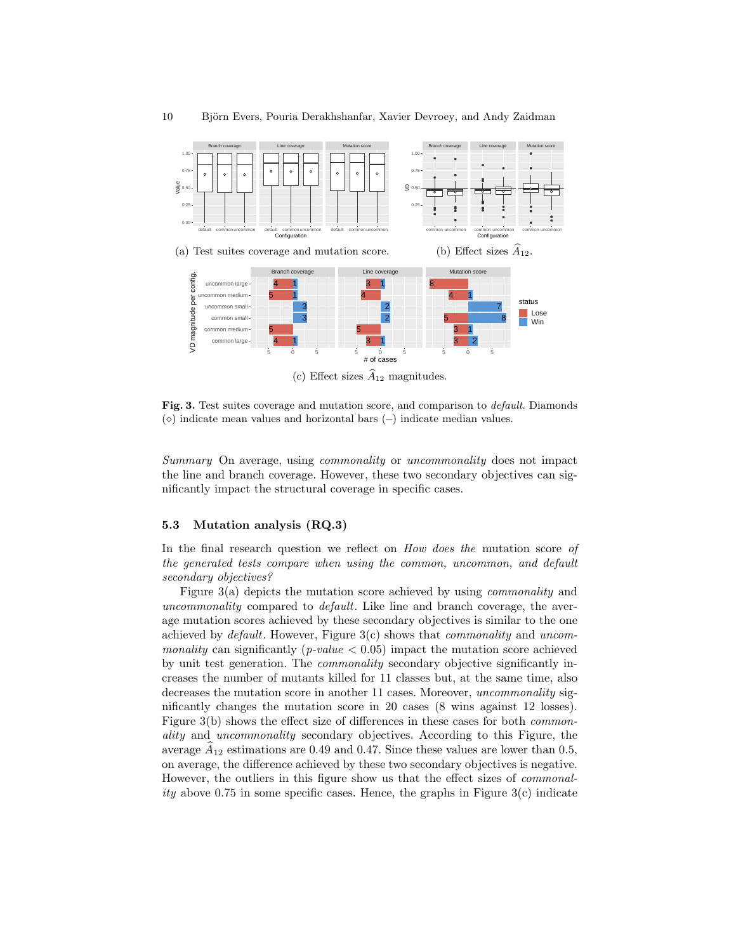

Fig. 3. Test suites coverage and mutation score, and comparison to default. Diamonds  $\phi$  indicate mean values and horizontal bars  $(-)$  indicate median values.

Summary On average, using commonality or uncommonality does not impact the line and branch coverage. However, these two secondary objectives can significantly impact the structural coverage in specific cases.

#### 5.3 Mutation analysis (RQ.3)

In the final research question we reflect on *How does the* mutation score of the generated tests compare when using the common, uncommon, and default secondary objectives?

Figure 3(a) depicts the mutation score achieved by using commonality and uncommonality compared to *default*. Like line and branch coverage, the average mutation scores achieved by these secondary objectives is similar to the one achieved by  $default$ . However, Figure 3(c) shows that *commonality* and *uncom*monality can significantly ( $p-value < 0.05$ ) impact the mutation score achieved by unit test generation. The commonality secondary objective significantly increases the number of mutants killed for 11 classes but, at the same time, also decreases the mutation score in another 11 cases. Moreover, uncommonality significantly changes the mutation score in 20 cases (8 wins against 12 losses). Figure 3(b) shows the effect size of differences in these cases for both commonality and uncommonality secondary objectives. According to this Figure, the average  $A_{12}$  estimations are 0.49 and 0.47. Since these values are lower than 0.5, on average, the difference achieved by these two secondary objectives is negative. However, the outliers in this figure show us that the effect sizes of commonality above 0.75 in some specific cases. Hence, the graphs in Figure  $3(c)$  indicate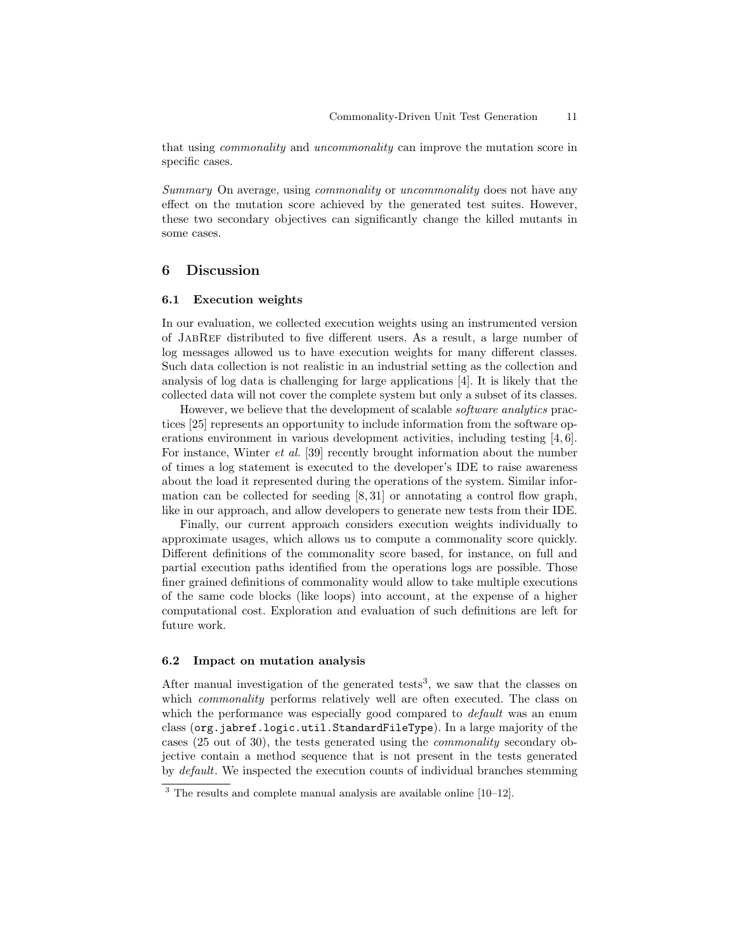that using commonality and uncommonality can improve the mutation score in specific cases.

Summary On average, using commonality or uncommonality does not have any effect on the mutation score achieved by the generated test suites. However, these two secondary objectives can significantly change the killed mutants in some cases.

# 6 Discussion

#### 6.1 Execution weights

In our evaluation, we collected execution weights using an instrumented version of JabRef distributed to five different users. As a result, a large number of log messages allowed us to have execution weights for many different classes. Such data collection is not realistic in an industrial setting as the collection and analysis of log data is challenging for large applications [4]. It is likely that the collected data will not cover the complete system but only a subset of its classes.

However, we believe that the development of scalable software analytics practices [25] represents an opportunity to include information from the software operations environment in various development activities, including testing [4, 6]. For instance, Winter et al. [39] recently brought information about the number of times a log statement is executed to the developer's IDE to raise awareness about the load it represented during the operations of the system. Similar information can be collected for seeding [8, 31] or annotating a control flow graph, like in our approach, and allow developers to generate new tests from their IDE.

Finally, our current approach considers execution weights individually to approximate usages, which allows us to compute a commonality score quickly. Different definitions of the commonality score based, for instance, on full and partial execution paths identified from the operations logs are possible. Those finer grained definitions of commonality would allow to take multiple executions of the same code blocks (like loops) into account, at the expense of a higher computational cost. Exploration and evaluation of such definitions are left for future work.

#### 6.2 Impact on mutation analysis

After manual investigation of the generated tests<sup>3</sup>, we saw that the classes on which *commonality* performs relatively well are often executed. The class on which the performance was especially good compared to *default* was an enum class (org.jabref.logic.util.StandardFileType). In a large majority of the cases (25 out of 30), the tests generated using the commonality secondary objective contain a method sequence that is not present in the tests generated by default. We inspected the execution counts of individual branches stemming

<sup>3</sup> The results and complete manual analysis are available online [10–12].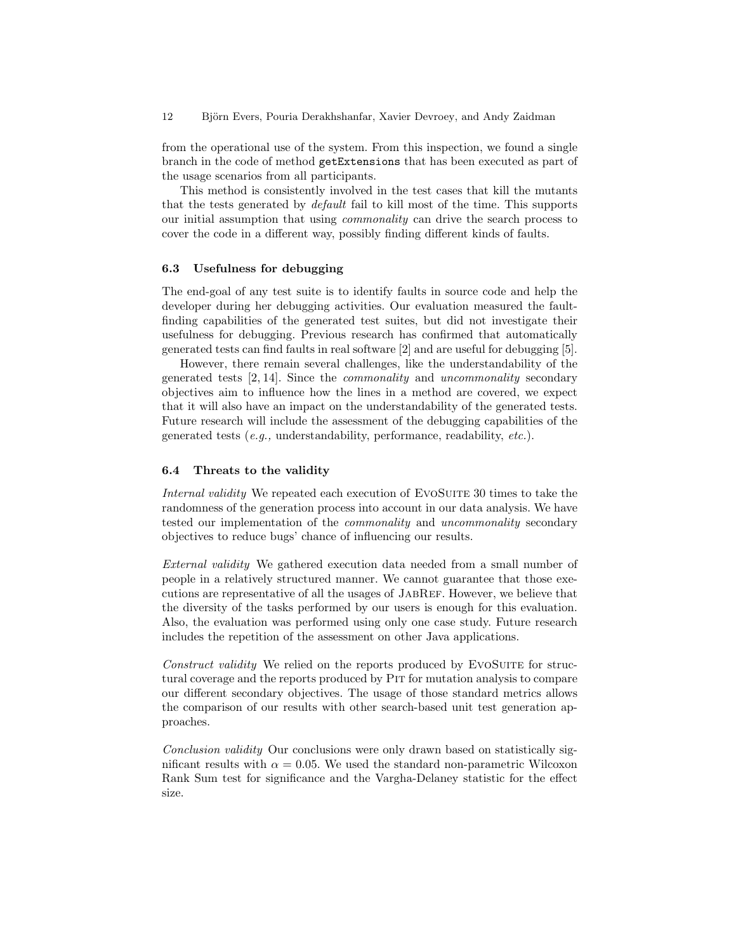12 Björn Evers, Pouria Derakhshanfar, Xavier Devroey, and Andy Zaidman

from the operational use of the system. From this inspection, we found a single branch in the code of method getExtensions that has been executed as part of the usage scenarios from all participants.

This method is consistently involved in the test cases that kill the mutants that the tests generated by default fail to kill most of the time. This supports our initial assumption that using commonality can drive the search process to cover the code in a different way, possibly finding different kinds of faults.

#### 6.3 Usefulness for debugging

The end-goal of any test suite is to identify faults in source code and help the developer during her debugging activities. Our evaluation measured the faultfinding capabilities of the generated test suites, but did not investigate their usefulness for debugging. Previous research has confirmed that automatically generated tests can find faults in real software [2] and are useful for debugging [5].

However, there remain several challenges, like the understandability of the generated tests [2, 14]. Since the commonality and uncommonality secondary objectives aim to influence how the lines in a method are covered, we expect that it will also have an impact on the understandability of the generated tests. Future research will include the assessment of the debugging capabilities of the generated tests (e.g., understandability, performance, readability, etc.).

#### 6.4 Threats to the validity

Internal validity We repeated each execution of EVOSUITE 30 times to take the randomness of the generation process into account in our data analysis. We have tested our implementation of the commonality and uncommonality secondary objectives to reduce bugs' chance of influencing our results.

External validity We gathered execution data needed from a small number of people in a relatively structured manner. We cannot guarantee that those executions are representative of all the usages of JABREF. However, we believe that the diversity of the tasks performed by our users is enough for this evaluation. Also, the evaluation was performed using only one case study. Future research includes the repetition of the assessment on other Java applications.

Construct validity We relied on the reports produced by EVOSUITE for structural coverage and the reports produced by Pit for mutation analysis to compare our different secondary objectives. The usage of those standard metrics allows the comparison of our results with other search-based unit test generation approaches.

Conclusion validity Our conclusions were only drawn based on statistically significant results with  $\alpha = 0.05$ . We used the standard non-parametric Wilcoxon Rank Sum test for significance and the Vargha-Delaney statistic for the effect size.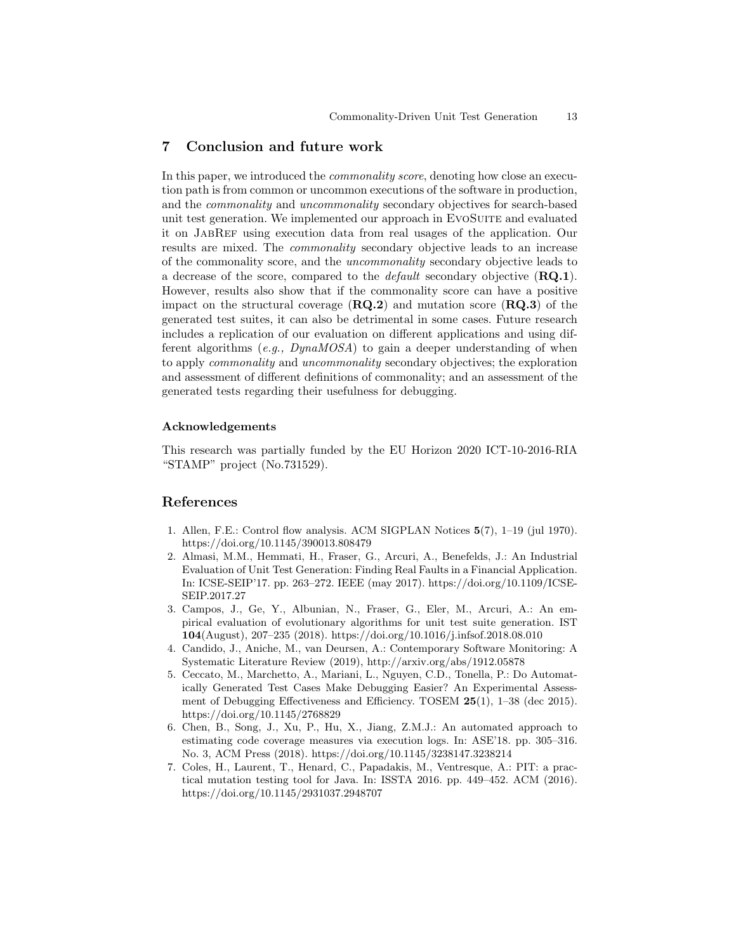### 7 Conclusion and future work

In this paper, we introduced the *commonality score*, denoting how close an execution path is from common or uncommon executions of the software in production, and the commonality and uncommonality secondary objectives for search-based unit test generation. We implemented our approach in EVOSUITE and evaluated it on JabRef using execution data from real usages of the application. Our results are mixed. The commonality secondary objective leads to an increase of the commonality score, and the uncommonality secondary objective leads to a decrease of the score, compared to the *default* secondary objective  $(RQ.1)$ . However, results also show that if the commonality score can have a positive impact on the structural coverage  $(RQ.2)$  and mutation score  $(RQ.3)$  of the generated test suites, it can also be detrimental in some cases. Future research includes a replication of our evaluation on different applications and using different algorithms (e.g.,  $DynaMOSA$ ) to gain a deeper understanding of when to apply commonality and uncommonality secondary objectives; the exploration and assessment of different definitions of commonality; and an assessment of the generated tests regarding their usefulness for debugging.

#### Acknowledgements

This research was partially funded by the EU Horizon 2020 ICT-10-2016-RIA "STAMP" project (No.731529).

# References

- 1. Allen, F.E.: Control flow analysis. ACM SIGPLAN Notices 5(7), 1–19 (jul 1970). https://doi.org/10.1145/390013.808479
- 2. Almasi, M.M., Hemmati, H., Fraser, G., Arcuri, A., Benefelds, J.: An Industrial Evaluation of Unit Test Generation: Finding Real Faults in a Financial Application. In: ICSE-SEIP'17. pp. 263–272. IEEE (may 2017). https://doi.org/10.1109/ICSE-SEIP.2017.27
- 3. Campos, J., Ge, Y., Albunian, N., Fraser, G., Eler, M., Arcuri, A.: An empirical evaluation of evolutionary algorithms for unit test suite generation. IST 104(August), 207–235 (2018). https://doi.org/10.1016/j.infsof.2018.08.010
- 4. Candido, J., Aniche, M., van Deursen, A.: Contemporary Software Monitoring: A Systematic Literature Review (2019), http://arxiv.org/abs/1912.05878
- 5. Ceccato, M., Marchetto, A., Mariani, L., Nguyen, C.D., Tonella, P.: Do Automatically Generated Test Cases Make Debugging Easier? An Experimental Assessment of Debugging Effectiveness and Efficiency. TOSEM 25(1), 1–38 (dec 2015). https://doi.org/10.1145/2768829
- 6. Chen, B., Song, J., Xu, P., Hu, X., Jiang, Z.M.J.: An automated approach to estimating code coverage measures via execution logs. In: ASE'18. pp. 305–316. No. 3, ACM Press (2018). https://doi.org/10.1145/3238147.3238214
- 7. Coles, H., Laurent, T., Henard, C., Papadakis, M., Ventresque, A.: PIT: a practical mutation testing tool for Java. In: ISSTA 2016. pp. 449–452. ACM (2016). https://doi.org/10.1145/2931037.2948707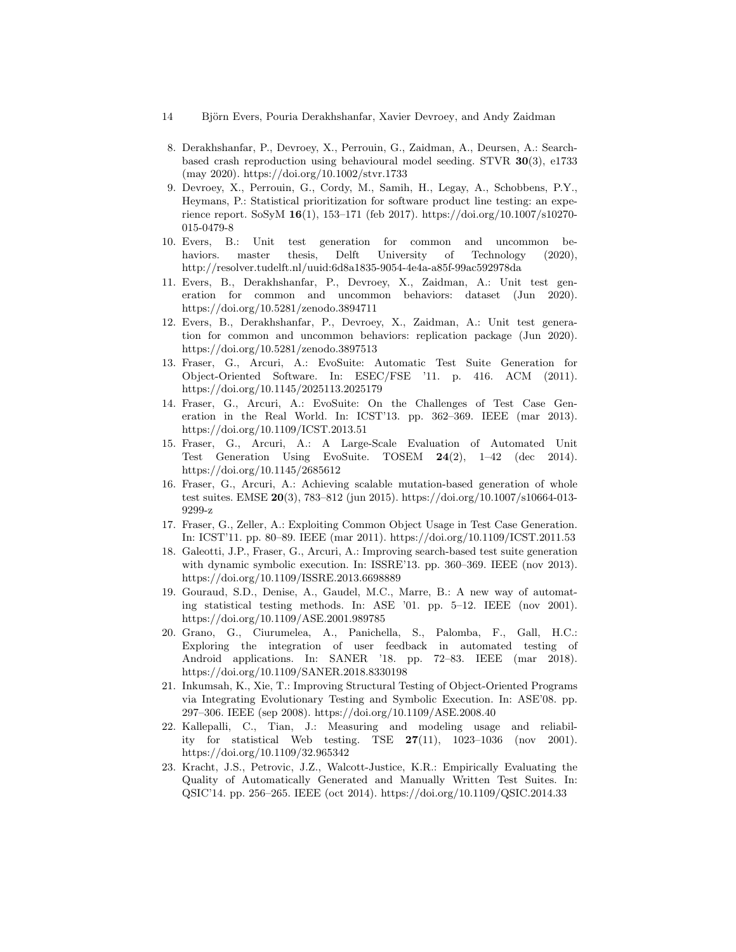- 14 Björn Evers, Pouria Derakhshanfar, Xavier Devroey, and Andy Zaidman
- 8. Derakhshanfar, P., Devroey, X., Perrouin, G., Zaidman, A., Deursen, A.: Searchbased crash reproduction using behavioural model seeding. STVR 30(3), e1733 (may 2020). https://doi.org/10.1002/stvr.1733
- 9. Devroey, X., Perrouin, G., Cordy, M., Samih, H., Legay, A., Schobbens, P.Y., Heymans, P.: Statistical prioritization for software product line testing: an experience report. SoSyM 16(1), 153–171 (feb 2017). https://doi.org/10.1007/s10270- 015-0479-8
- 10. Evers, B.: Unit test generation for common and uncommon behaviors. master thesis, Delft University of Technology (2020), http://resolver.tudelft.nl/uuid:6d8a1835-9054-4e4a-a85f-99ac592978da
- 11. Evers, B., Derakhshanfar, P., Devroey, X., Zaidman, A.: Unit test generation for common and uncommon behaviors: dataset (Jun 2020). https://doi.org/10.5281/zenodo.3894711
- 12. Evers, B., Derakhshanfar, P., Devroey, X., Zaidman, A.: Unit test generation for common and uncommon behaviors: replication package (Jun 2020). https://doi.org/10.5281/zenodo.3897513
- 13. Fraser, G., Arcuri, A.: EvoSuite: Automatic Test Suite Generation for Object-Oriented Software. In: ESEC/FSE '11. p. 416. ACM (2011). https://doi.org/10.1145/2025113.2025179
- 14. Fraser, G., Arcuri, A.: EvoSuite: On the Challenges of Test Case Generation in the Real World. In: ICST'13. pp. 362–369. IEEE (mar 2013). https://doi.org/10.1109/ICST.2013.51
- 15. Fraser, G., Arcuri, A.: A Large-Scale Evaluation of Automated Unit Test Generation Using EvoSuite. TOSEM  $24(2)$ , 1-42 (dec 2014). https://doi.org/10.1145/2685612
- 16. Fraser, G., Arcuri, A.: Achieving scalable mutation-based generation of whole test suites. EMSE 20(3), 783–812 (jun 2015). https://doi.org/10.1007/s10664-013- 9299-z
- 17. Fraser, G., Zeller, A.: Exploiting Common Object Usage in Test Case Generation. In: ICST'11. pp. 80–89. IEEE (mar 2011). https://doi.org/10.1109/ICST.2011.53
- 18. Galeotti, J.P., Fraser, G., Arcuri, A.: Improving search-based test suite generation with dynamic symbolic execution. In: ISSRE'13. pp. 360–369. IEEE (nov 2013). https://doi.org/10.1109/ISSRE.2013.6698889
- 19. Gouraud, S.D., Denise, A., Gaudel, M.C., Marre, B.: A new way of automating statistical testing methods. In: ASE '01. pp. 5–12. IEEE (nov 2001). https://doi.org/10.1109/ASE.2001.989785
- 20. Grano, G., Ciurumelea, A., Panichella, S., Palomba, F., Gall, H.C.: Exploring the integration of user feedback in automated testing of Android applications. In: SANER '18. pp. 72–83. IEEE (mar 2018). https://doi.org/10.1109/SANER.2018.8330198
- 21. Inkumsah, K., Xie, T.: Improving Structural Testing of Object-Oriented Programs via Integrating Evolutionary Testing and Symbolic Execution. In: ASE'08. pp. 297–306. IEEE (sep 2008). https://doi.org/10.1109/ASE.2008.40
- 22. Kallepalli, C., Tian, J.: Measuring and modeling usage and reliability for statistical Web testing. TSE  $27(11)$ ,  $1023-1036$  (nov 2001). https://doi.org/10.1109/32.965342
- 23. Kracht, J.S., Petrovic, J.Z., Walcott-Justice, K.R.: Empirically Evaluating the Quality of Automatically Generated and Manually Written Test Suites. In: QSIC'14. pp. 256–265. IEEE (oct 2014). https://doi.org/10.1109/QSIC.2014.33